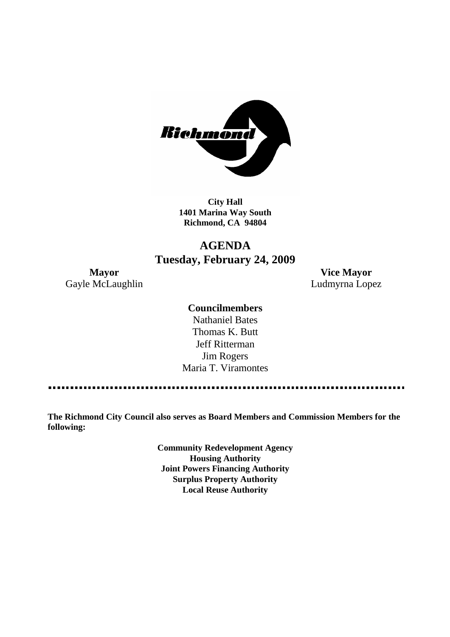

**City Hall 1401 Marina Way South Richmond, CA 94804**

# **AGENDA Tuesday, February 24, 2009**

Gayle McLaughlin **Ludmyrna Lopez** 

**Mayor Vice Mayor**

## **Councilmembers**

Nathaniel Bates Thomas K. Butt Jeff Ritterman Jim Rogers Maria T. Viramontes

**The Richmond City Council also serves as Board Members and Commission Members for the following:**

> **Community Redevelopment Agency Housing Authority Joint Powers Financing Authority Surplus Property Authority Local Reuse Authority**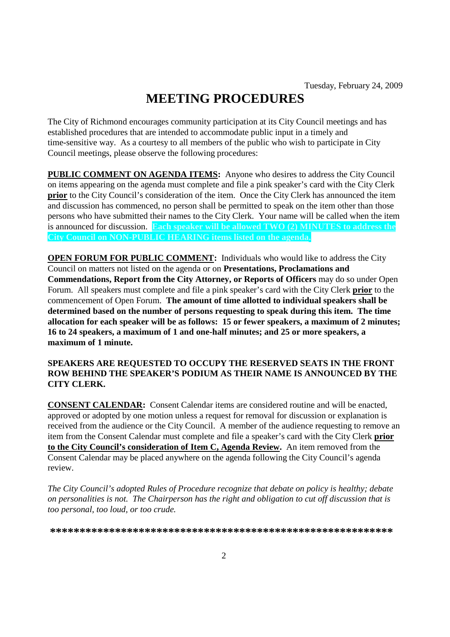# **MEETING PROCEDURES**

The City of Richmond encourages community participation at its City Council meetings and has established procedures that are intended to accommodate public input in a timely and time-sensitive way. As a courtesy to all members of the public who wish to participate in City Council meetings, please observe the following procedures:

**PUBLIC COMMENT ON AGENDA ITEMS:** Anyone who desires to address the City Council on items appearing on the agenda must complete and file a pink speaker's card with the City Clerk **prior** to the City Council's consideration of the item. Once the City Clerk has announced the item and discussion has commenced, no person shall be permitted to speak on the item other than those persons who have submitted their names to the City Clerk. Your name will be called when the item is announced for discussion. **Each speaker will be allowed TWO (2) MINUTES to address the City Council on NON-PUBLIC HEARING items listed on the agenda.**

**OPEN FORUM FOR PUBLIC COMMENT:** Individuals who would like to address the City Council on matters not listed on the agenda or on **Presentations, Proclamations and Commendations, Report from the City Attorney, or Reports of Officers** may do so under Open Forum. All speakers must complete and file a pink speaker's card with the City Clerk **prior** to the commencement of Open Forum. **The amount of time allotted to individual speakers shall be determined based on the number of persons requesting to speak during this item. The time allocation for each speaker will be as follows: 15 or fewer speakers, a maximum of 2 minutes; 16 to 24 speakers, a maximum of 1 and one-half minutes; and 25 or more speakers, a maximum of 1 minute.**

### **SPEAKERS ARE REQUESTED TO OCCUPY THE RESERVED SEATS IN THE FRONT ROW BEHIND THE SPEAKER'S PODIUM AS THEIR NAME IS ANNOUNCED BY THE CITY CLERK.**

**CONSENT CALENDAR:** Consent Calendar items are considered routine and will be enacted, approved or adopted by one motion unless a request for removal for discussion or explanation is received from the audience or the City Council. A member of the audience requesting to remove an item from the Consent Calendar must complete and file a speaker's card with the City Clerk **prior to the City Council's consideration of Item C, Agenda Review.** An item removed from the Consent Calendar may be placed anywhere on the agenda following the City Council's agenda review.

*The City Council's adopted Rules of Procedure recognize that debate on policy is healthy; debate on personalities is not. The Chairperson has the right and obligation to cut off discussion that is too personal, too loud, or too crude.*

**\*\*\*\*\*\*\*\*\*\*\*\*\*\*\*\*\*\*\*\*\*\*\*\*\*\*\*\*\*\*\*\*\*\*\*\*\*\*\*\*\*\*\*\*\*\*\*\*\*\*\*\*\*\*\*\*\*\***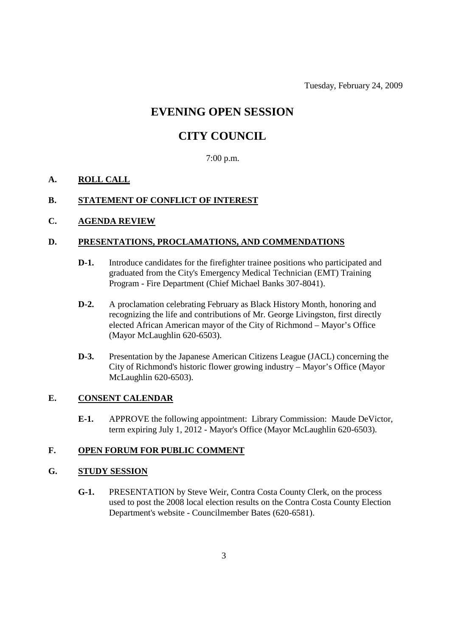Tuesday, February 24, 2009

# **EVENING OPEN SESSION**

# **CITY COUNCIL**

7:00 p.m.

## **A. ROLL CALL**

### **B. STATEMENT OF CONFLICT OF INTEREST**

# **C. AGENDA REVIEW**

#### **D. PRESENTATIONS, PROCLAMATIONS, AND COMMENDATIONS**

- **D-1.** Introduce candidates for the firefighter trainee positions who participated and graduated from the City's Emergency Medical Technician (EMT) Training Program - Fire Department (Chief Michael Banks 307-8041).
- **D-2.** A proclamation celebrating February as Black History Month, honoring and recognizing the life and contributions of Mr. George Livingston, first directly elected African American mayor of the City of Richmond – Mayor's Office (Mayor McLaughlin 620-6503).
- **D-3.** Presentation by the Japanese American Citizens League (JACL) concerning the City of Richmond's historic flower growing industry – Mayor's Office (Mayor McLaughlin 620-6503).

### **E. CONSENT CALENDAR**

**E-1.** APPROVE the following appointment: Library Commission: Maude DeVictor, term expiring July 1, 2012 - Mayor's Office (Mayor McLaughlin 620-6503).

#### **F. OPEN FORUM FOR PUBLIC COMMENT**

#### **G. STUDY SESSION**

**G-1.** PRESENTATION by Steve Weir, Contra Costa County Clerk, on the process used to post the 2008 local election results on the Contra Costa County Election Department's website - Councilmember Bates (620-6581).